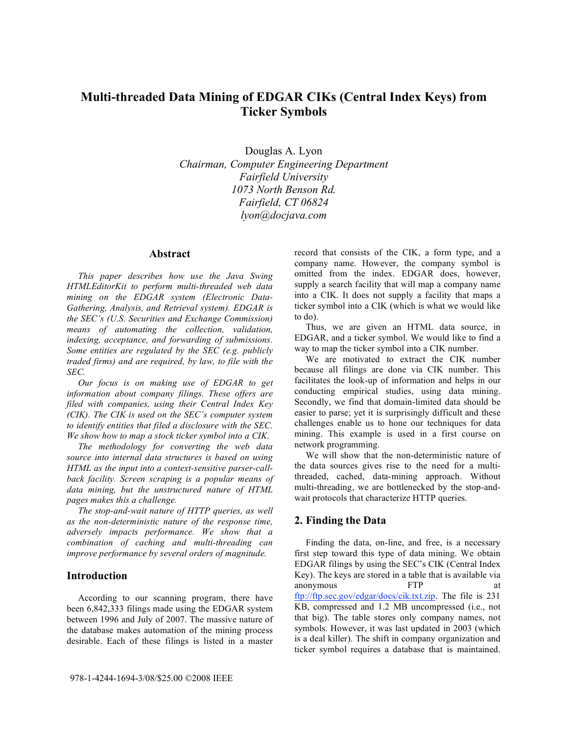# **Multi-threaded Data Mining of EDGAR CIKs (Central Index Keys) from Ticker Symbols**

Douglas A. Lyon *Chairman, Computer Engineering Department Fairfield University 1073 North Benson Rd. Fairfield, CT 06824 lyon@docjava.com*

#### **Abstract**

*This paper describes how use the Java Swing HTMLEditorKit to perform multi-threaded web data mining on the EDGAR system (Electronic Data-Gathering, Analysis, and Retrieval system). EDGAR is the SEC's (U.S. Securities and Exchange Commission) means of automating the collection, validation, indexing, acceptance, and forwarding of submissions. Some entities are regulated by the SEC (e.g. publicly traded firms) and are required, by law, to file with the SEC.* 

*Our focus is on making use of EDGAR to get information about company filings. These offers are filed with companies, using their Central Index Key (CIK). The CIK is used on the SEC's computer system to identify entities that filed a disclosure with the SEC. We show how to map a stock ticker symbol into a CIK.* 

*The methodology for converting the web data source into internal data structures is based on using HTML as the input into a context-sensitive parser-callback facility. Screen scraping is a popular means of data mining, but the unstructured nature of HTML pages makes this a challenge.*

*The stop-and-wait nature of HTTP queries, as well as the non-deterministic nature of the response time, adversely impacts performance. We show that a combination of caching and multi-threading can improve performance by several orders of magnitude.* 

## **Introduction**

According to our scanning program, there have been 6,842,333 filings made using the EDGAR system between 1996 and July of 2007. The massive nature of the database makes automation of the mining process desirable. Each of these filings is listed in a master

record that consists of the CIK, a form type, and a company name. However, the company symbol is omitted from the index. EDGAR does, however, supply a search facility that will map a company name into a CIK. It does not supply a facility that maps a ticker symbol into a CIK (which is what we would like to do).

Thus, we are given an HTML data source, in EDGAR, and a ticker symbol. We would like to find a way to map the ticker symbol into a CIK number.

We are motivated to extract the CIK number because all filings are done via CIK number. This facilitates the look-up of information and helps in our conducting empirical studies, using data mining. Secondly, we find that domain-limited data should be easier to parse; yet it is surprisingly difficult and these challenges enable us to hone our techniques for data mining. This example is used in a first course on network programming.

We will show that the non-deterministic nature of the data sources gives rise to the need for a multithreaded, cached, data-mining approach. Without multi-threading, we are bottlenecked by the stop-andwait protocols that characterize HTTP queries.

## **2. Finding the Data**

Finding the data, on-line, and free, is a necessary first step toward this type of data mining. We obtain EDGAR filings by using the SEC's CIK (Central Index Key). The keys are stored in a table that is available via anonymous FTP at ftp://ftp.sec.gov/edgar/docs/cik.txt.zip. The file is 231 KB, compressed and 1.2 MB uncompressed (i.e., not that big). The table stores only company names, not symbols. However, it was last updated in 2003 (which is a deal killer). The shift in company organization and ticker symbol requires a database that is maintained.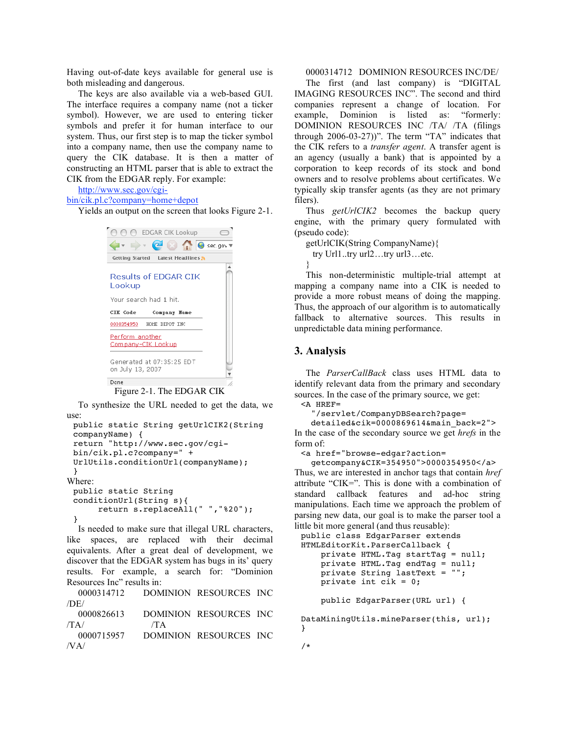Having out-of-date keys available for general use is both misleading and dangerous.

The keys are also available via a web-based GUI. The interface requires a company name (not a ticker symbol). However, we are used to entering ticker symbols and prefer it for human interface to our system. Thus, our first step is to map the ticker symbol into a company name, then use the company name to query the CIK database. It is then a matter of constructing an HTML parser that is able to extract the CIK from the EDGAR reply. For example:

http://www.sec.gov/cgi-

bin/cik.pl.c?company=home+depot

Yields an output on the screen that looks Figure 2-1.



#### Figure 2-1. The EDGAR CIK

To synthesize the URL needed to get the data, we use:

```
public static String getUrlCIK2(String
 companyName) {
 return "http://www.sec.gov/cgi-
 bin/cik.pl.c?company=" +
 UrlUtils.conditionUrl(companyName);
 }
Where:
 public static String
 conditionUrl(String s){
      return s.replaceAll(" ","%20");
 }
```
Is needed to make sure that illegal URL characters, like spaces, are replaced with their decimal equivalents. After a great deal of development, we discover that the EDGAR system has bugs in its' query results. For example, a search for: "Dominion Resources Inc" results in:

0000314712 DOMINION RESOURCES INC /DE/ 0000826613 DOMINION RESOURCES INC  $/TA/$  /TA 0000715957 DOMINION RESOURCES INC /VA/

#### 0000314712 DOMINION RESOURCES INC/DE/

The first (and last company) is "DIGITAL IMAGING RESOURCES INC". The second and third companies represent a change of location. For example, Dominion is listed as: "formerly: DOMINION RESOURCES INC /TA/ /TA (filings through 2006-03-27))". The term "TA" indicates that the CIK refers to a *transfer agent*. A transfer agent is an agency (usually a bank) that is appointed by a corporation to keep records of its stock and bond owners and to resolve problems about certificates. We typically skip transfer agents (as they are not primary filers).

Thus *getUrlCIK2* becomes the backup query engine, with the primary query formulated with (pseudo code):

getUrlCIK(String CompanyName){ try Url1..try url2…try url3…etc. }

This non-deterministic multiple-trial attempt at mapping a company name into a CIK is needed to provide a more robust means of doing the mapping. Thus, the approach of our algorithm is to automatically fallback to alternative sources. This results in unpredictable data mining performance.

#### **3. Analysis**

The *ParserCallBack* class uses HTML data to identify relevant data from the primary and secondary sources. In the case of the primary source, we get: <A HREF=

```
"/servlet/CompanyDBSearch?page=
```
detailed&cik=0000869614&main\_back=2"> In the case of the secondary source we get *hrefs* in the form of:

<a href="browse-edgar?action=

getcompany&CIK=354950">0000354950</a> Thus, we are interested in anchor tags that contain *href* attribute "CIK=". This is done with a combination of standard callback features and ad-hoc string manipulations. Each time we approach the problem of parsing new data, our goal is to make the parser tool a little bit more general (and thus reusable):

```
public class EdgarParser extends
HTMLEditorKit.ParserCallback {
   private HTML.Tag startTag = null;
    private HTML.Tag endTag = null;
    private String lastText = "";
    private int cik = 0;
    public EdgarParser(URL url) {
DataMiningUtils.mineParser(this, url);
```
} /\*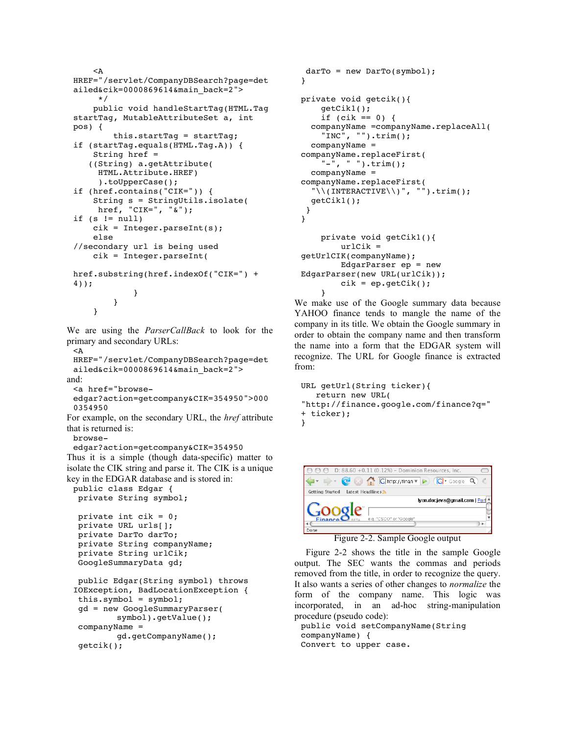```
<A
HREF="/servlet/CompanyDBSearch?page=det
ailed&cik=0000869614&main_back=2">
     */
    public void handleStartTag(HTML.Tag
startTag, MutableAttributeSet a, int
pos) {
        this.startTag = startTag;
if (startTag.equals(HTML.Tag.A)) {
    String href =
   ((String) a.getAttribute(
     HTML.Attribute.HREF)
     ).toUpperCase();
if (href.contains("CIK=")) {
    String s = StringUtils.isolate(
     href, "CIK=", "&");
if (s := null)cik = Integer.parseInt(s);
    else
//secondary url is being used
    cik = Integer.parseInt(
href.substring(href.indexOf("CIK=") +
4));
            }
        }
    }
```
We are using the *ParserCallBack* to look for the primary and secondary URLs:

 $<$  $A$ HREF="/servlet/CompanyDBSearch?page=det ailed&cik=0000869614&main\_back=2"> and: <a href="browse-

```
edgar?action=getcompany&CIK=354950">000
0354950
```
For example, on the secondary URL, the *href* attribute that is returned is:

browse-

getcik();

edgar?action=getcompany&CIK=354950 Thus it is a simple (though data-specific) matter to isolate the CIK string and parse it. The CIK is a unique key in the EDGAR database and is stored in:

```
public class Edgar {
 private String symbol;
```

```
private int cik = 0;
private URL urls[];
private DarTo darTo;
private String companyName;
private String urlCik;
GoogleSummaryData gd;
public Edgar(String symbol) throws
IOException, BadLocationException {
this.symbol = symbol;
```

```
gd = new GoogleSummaryParser(
       symbol).getValue();
companyName =
        gd.getCompanyName();
```

```
darTo = new DarTo(symbol);
}
private void getcik(){
    getCik1();
    if (cik == 0) {
  companyName =companyName.replaceAll(
    "INC", "").trim();
  companyName =
companyName.replaceFirst(
    "-", " ").trim();
  companyName =
companyName.replaceFirst(
  "\setminus(INTERACTIVE\setminus)", "").trim();
  getCik1();
}
}
    private void getCik1(){
        urlCik =
getUrlCIK(companyName);
        EdgarParser ep = new
EdgarParser(new URL(urlCik));
        cik = ep.getCik();
```
We make use of the Google summary data because YAHOO finance tends to mangle the name of the company in its title. We obtain the Google summary in order to obtain the company name and then transform the name into a form that the EDGAR system will recognize. The URL for Google finance is extracted from:

}

```
URL getUrl(String ticker){
   return new URL(
"http://finance.google.com/finance?q="
+ ticker);
}
```


Figure 2-2. Sample Google output

Figure 2-2 shows the title in the sample Google output. The SEC wants the commas and periods removed from the title, in order to recognize the query. It also wants a series of other changes to *normalize* the form of the company name. This logic was incorporated, in an ad-hoc string-manipulation procedure (pseudo code):

public void setCompanyName(String companyName) { Convert to upper case.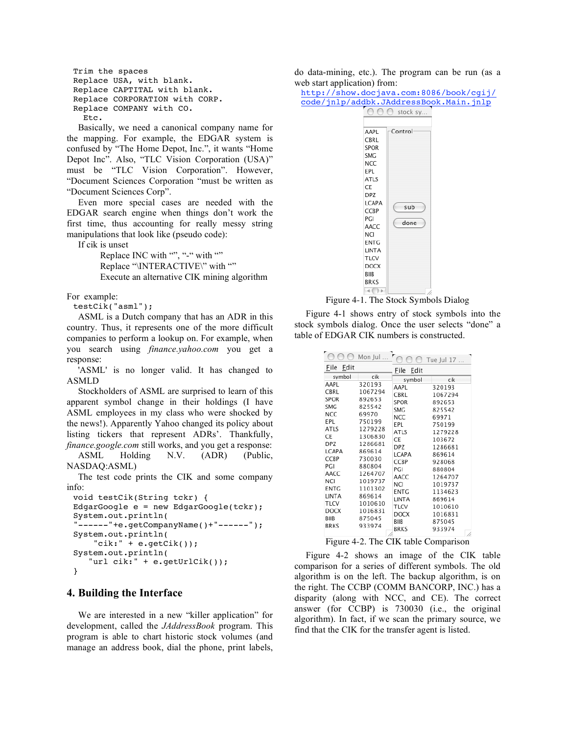```
Trim the spaces
Replace USA, with blank.
Replace CAPTITAL with blank.
Replace CORPORATION with CORP.
Replace COMPANY with CO.
  Etc.
```
Basically, we need a canonical company name for the mapping. For example, the EDGAR system is confused by "The Home Depot, Inc.", it wants "Home Depot Inc". Also, "TLC Vision Corporation (USA)" must be "TLC Vision Corporation". However, "Document Sciences Corporation "must be written as "Document Sciences Corp".

Even more special cases are needed with the EDGAR search engine when things don't work the first time, thus accounting for really messy string manipulations that look like (pseudo code):

If cik is unset

Replace INC with "", "-" with "" Replace "\INTERACTIVE\" with "" Execute an alternative CIK mining algorithm

For example:

testCik("asml");

ASML is a Dutch company that has an ADR in this country. Thus, it represents one of the more difficult companies to perform a lookup on. For example, when you search using *finance.yahoo.com* you get a response:

'ASML' is no longer valid. It has changed to ASMLD

Stockholders of ASML are surprised to learn of this apparent symbol change in their holdings (I have ASML employees in my class who were shocked by the news!). Apparently Yahoo changed its policy about listing tickers that represent ADRs'. Thankfully, *finance.google.com* still works, and you get a response:

ASML Holding N.V. (ADR) (Public, NASDAQ:ASML)

The test code prints the CIK and some company info:

```
void testCik(String tckr) {
EdgarGoogle e = new EdgarGoogle(tckr);
System.out.println(
"------"+e.getCompanyName()+"------");
System.out.println(
    "cik:" + e.getCik();
System.out.println(
   "url cik:" + e.getUrlCik());
}
```
### **4. Building the Interface**

We are interested in a new "killer application" for development, called the *JAddressBook* program. This program is able to chart historic stock volumes (and manage an address book, dial the phone, print labels,

do data-mining, etc.). The program can be run (as a web start application) from:

http://show.docjava.com:8086/book/cgij/ code/jnlp/addbk.JAddressBook.Main.jnlp<br>
000 stock sy...



Figure 4-1. The Stock Symbols Dialog

Figure 4-1 shows entry of stock symbols into the stock symbols dialog. Once the user selects "done" a table of EDGAR CIK numbers is constructed.

|                                                                                                  | Mon Jul                                                                                                    |                                                                                                                         | $\bigcirc$ Tue Jul 17                                                                                           |
|--------------------------------------------------------------------------------------------------|------------------------------------------------------------------------------------------------------------|-------------------------------------------------------------------------------------------------------------------------|-----------------------------------------------------------------------------------------------------------------|
| File<br>Edit                                                                                     |                                                                                                            | File<br>Edit                                                                                                            |                                                                                                                 |
| symbol<br>AAPL<br>CBRL<br><b>SPOR</b><br><b>SMG</b><br>NCC<br>EPL.<br>ATLS<br>CE<br>DPZ<br>LCAPA | cik<br>320193<br>1067294<br>892653<br>825542<br>69970<br>750199<br>1279228<br>1306830<br>1286681<br>869614 | symbol<br>AAPL<br>CBRL<br><b>SPOR</b><br><b>SMG</b><br><b>NCC</b><br>EPL<br><b>ATLS</b><br>CE<br><b>DPZ</b>             | cik<br>320193<br>1067294<br>892653<br>825542<br>69971<br>750199<br>1279228<br>103672<br>1286681                 |
| CCBP<br>PGI<br>AACC<br><b>NCI</b><br>ENTG<br>LINTA<br>TLCV<br><b>DOCX</b><br>BIIB<br><b>BRKS</b> | 730030<br>880804<br>1264707<br>1019737<br>1101302<br>869614<br>1010610<br>1016831<br>875045<br>933974      | LCAPA<br>CCBP<br>PGI<br>AACC<br>NCI<br><b>ENTG</b><br>LINTA<br><b>TLCV</b><br><b>DOCX</b><br><b>BIIB</b><br><b>BRKS</b> | 869614<br>928068<br>880804<br>1264707<br>1019737<br>1134623<br>869614<br>1010610<br>1016831<br>875045<br>933974 |

Figure 4-2. The CIK table Comparison

Figure 4-2 shows an image of the CIK table comparison for a series of different symbols. The old algorithm is on the left. The backup algorithm, is on the right. The CCBP (COMM BANCORP, INC.) has a disparity (along with NCC, and CE). The correct answer (for CCBP) is 730030 (i.e., the original algorithm). In fact, if we scan the primary source, we find that the CIK for the transfer agent is listed.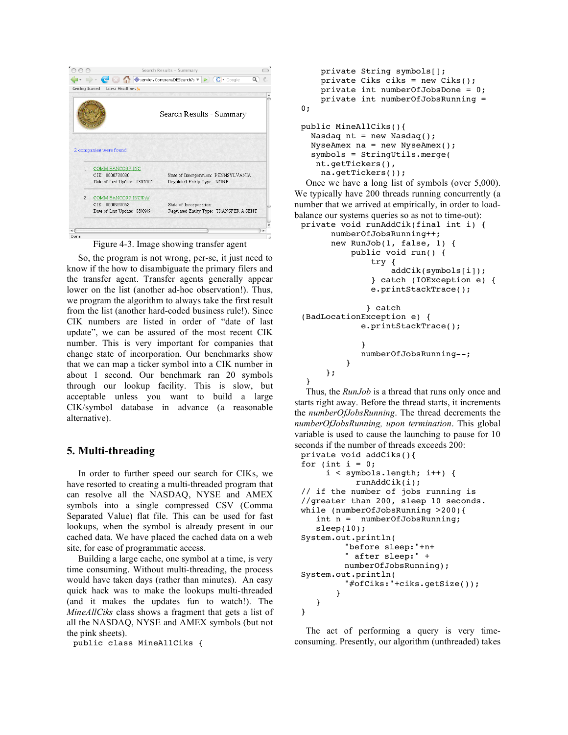|       | → C © © fervlet/CompanyDBSearch?s ▼ ▶ C C + Google |                                                                     | Q |
|-------|----------------------------------------------------|---------------------------------------------------------------------|---|
|       | <b>Getting Started</b><br>Latest Headlines 3       |                                                                     |   |
|       |                                                    | Search Results - Summary                                            |   |
|       |                                                    |                                                                     |   |
|       | 2 companies were found.                            |                                                                     |   |
| $1 -$ | COMM BANCORP INC<br>CIK: 0000730030                |                                                                     |   |
|       | Date of Last Update: 03/07/01                      | State of Incorporation: PENNSYLVANIA<br>Regulated Entity Type: NONE |   |
| 2.    | COMM BANCORP INC/PA/                               |                                                                     |   |
|       | $CIK$ $000928068$                                  | State of Incorporation:                                             |   |
|       | Date of Last Update: 08/09/94                      | Regulated Entity Type: TRANSFER AGENT                               |   |
|       |                                                    |                                                                     |   |

Figure 4-3. Image showing transfer agent

So, the program is not wrong, per-se, it just need to know if the how to disambiguate the primary filers and the transfer agent. Transfer agents generally appear lower on the list (another ad-hoc observation!). Thus, we program the algorithm to always take the first result from the list (another hard-coded business rule!). Since CIK numbers are listed in order of "date of last update", we can be assured of the most recent CIK number. This is very important for companies that change state of incorporation. Our benchmarks show that we can map a ticker symbol into a CIK number in about 1 second. Our benchmark ran 20 symbols through our lookup facility. This is slow, but acceptable unless you want to build a large CIK/symbol database in advance (a reasonable alternative).

## **5. Multi-threading**

In order to further speed our search for CIKs, we have resorted to creating a multi-threaded program that can resolve all the NASDAQ, NYSE and AMEX symbols into a single compressed CSV (Comma Separated Value) flat file. This can be used for fast lookups, when the symbol is already present in our cached data. We have placed the cached data on a web site, for ease of programmatic access.

Building a large cache, one symbol at a time, is very time consuming. Without multi-threading, the process would have taken days (rather than minutes). An easy quick hack was to make the lookups multi-threaded (and it makes the updates fun to watch!). The *MineAllCiks* class shows a fragment that gets a list of all the NASDAQ, NYSE and AMEX symbols (but not the pink sheets).

public class MineAllCiks {

```
private String symbols[];
    private Ciks ciks = new Ciks();
    private int numberOfJobsDone = 0;
    private int numberOfJobsRunning =
0;
public MineAllCiks(){
  Nasdaq nt = new Nasdag();
  NyseAmex na = new NyseAmex();
  symbols = StringUtils.merge(
   nt.getTickers(),
    na.getTickers());
```
Once we have a long list of symbols (over 5,000). We typically have 200 threads running concurrently (a number that we arrived at empirically, in order to loadbalance our systems queries so as not to time-out):

```
private void runAddCik(final int i) {
      numberOfJobsRunning++;
      new RunJob(1, false, 1) {
          public void run() {
              try {
                  addCik(symbols[i]);
              } catch (IOException e) {
              e.printStackTrace();
             } catch
(BadLocationException e) {
            e.printStackTrace();
            }
            numberOfJobsRunning--;
         }
     };
 }
```
Thus, the *RunJob* is a thread that runs only once and starts right away. Before the thread starts, it increments the *numberOfJobsRunning*. The thread decrements the *numberOfJobsRunning, upon termination*. This global variable is used to cause the launching to pause for 10 seconds if the number of threads exceeds 200:

```
private void addCiks(){
for (int i = 0;
     i < symbols.length; i++) {
           runAddCik(i);
// if the number of jobs running is
//greater than 200, sleep 10 seconds.
while (numberOfJobsRunning >200){
   int n = numberOfJobsRunning;
   sleep(10);
System.out.println(
         "before sleep:"+n+
         " after sleep:" +
        numberOfJobsRunning);
System.out.println(
         "#ofCiks:"+ciks.getSize());
       }
   }
}
```
The act of performing a query is very timeconsuming. Presently, our algorithm (unthreaded) takes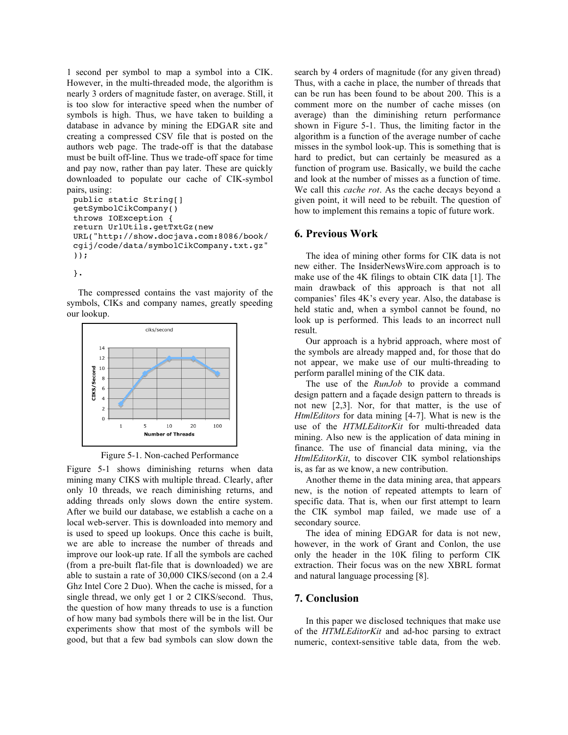1 second per symbol to map a symbol into a CIK. However, in the multi-threaded mode, the algorithm is nearly 3 orders of magnitude faster, on average. Still, it is too slow for interactive speed when the number of symbols is high. Thus, we have taken to building a database in advance by mining the EDGAR site and creating a compressed CSV file that is posted on the authors web page. The trade-off is that the database must be built off-line. Thus we trade-off space for time and pay now, rather than pay later. These are quickly downloaded to populate our cache of CIK-symbol pairs, using:

```
public static String[]
getSymbolCikCompany()
throws IOException {
return UrlUtils.getTxtGz(new
URL("http://show.docjava.com:8086/book/
cgij/code/data/symbolCikCompany.txt.gz"
));
```
}.

The compressed contains the vast majority of the symbols, CIKs and company names, greatly speeding our lookup.



Figure 5-1. Non-cached Performance

Figure 5-1 shows diminishing returns when data mining many CIKS with multiple thread. Clearly, after only 10 threads, we reach diminishing returns, and adding threads only slows down the entire system. After we build our database, we establish a cache on a local web-server. This is downloaded into memory and is used to speed up lookups. Once this cache is built, we are able to increase the number of threads and improve our look-up rate. If all the symbols are cached (from a pre-built flat-file that is downloaded) we are able to sustain a rate of 30,000 CIKS/second (on a 2.4 Ghz Intel Core 2 Duo). When the cache is missed, for a single thread, we only get 1 or 2 CIKS/second. Thus, the question of how many threads to use is a function of how many bad symbols there will be in the list. Our experiments show that most of the symbols will be good, but that a few bad symbols can slow down the

search by 4 orders of magnitude (for any given thread) Thus, with a cache in place, the number of threads that can be run has been found to be about 200. This is a comment more on the number of cache misses (on average) than the diminishing return performance shown in Figure 5-1. Thus, the limiting factor in the algorithm is a function of the average number of cache misses in the symbol look-up. This is something that is hard to predict, but can certainly be measured as a function of program use. Basically, we build the cache and look at the number of misses as a function of time. We call this *cache rot*. As the cache decays beyond a given point, it will need to be rebuilt. The question of how to implement this remains a topic of future work.

## **6. Previous Work**

The idea of mining other forms for CIK data is not new either. The InsiderNewsWire.com approach is to make use of the 4K filings to obtain CIK data [1]. The main drawback of this approach is that not all companies' files 4K's every year. Also, the database is held static and, when a symbol cannot be found, no look up is performed. This leads to an incorrect null result.

Our approach is a hybrid approach, where most of the symbols are already mapped and, for those that do not appear, we make use of our multi-threading to perform parallel mining of the CIK data.

The use of the *RunJob* to provide a command design pattern and a façade design pattern to threads is not new [2,3]. Nor, for that matter, is the use of *HtmlEditors* for data mining [4-7]. What is new is the use of the *HTMLEditorKit* for multi-threaded data mining. Also new is the application of data mining in finance. The use of financial data mining, via the *HtmlEditorKit*, to discover CIK symbol relationships is, as far as we know, a new contribution.

Another theme in the data mining area, that appears new, is the notion of repeated attempts to learn of specific data. That is, when our first attempt to learn the CIK symbol map failed, we made use of a secondary source.

The idea of mining EDGAR for data is not new, however, in the work of Grant and Conlon, the use only the header in the 10K filing to perform CIK extraction. Their focus was on the new XBRL format and natural language processing [8].

## **7. Conclusion**

In this paper we disclosed techniques that make use of the *HTMLEditorKit* and ad-hoc parsing to extract numeric, context-sensitive table data, from the web.